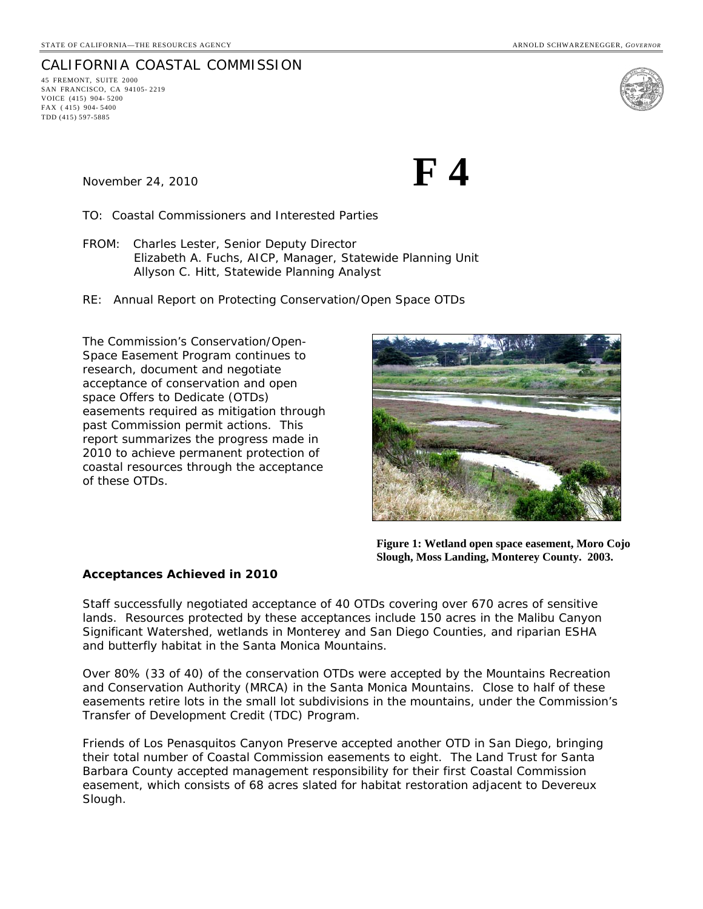#### CALIFORNIA COASTAL COMMISSION 45 FREMONT, SUITE 2000 SAN FRANCISCO, CA 94105- 2219 VOICE (415) 904- 5200 FAX ( 415) 904- 5400 TDD (415) 597-5885



November 24, 2010 **F**  $\bf{F}$ 

TO: Coastal Commissioners and Interested Parties

- FROM: Charles Lester, Senior Deputy Director Elizabeth A. Fuchs, AICP, Manager, Statewide Planning Unit Allyson C. Hitt, Statewide Planning Analyst
- RE: Annual Report on Protecting Conservation/Open Space OTDs

The Commission's Conservation/Open-Space Easement Program continues to research, document and negotiate acceptance of conservation and open space Offers to Dedicate (OTDs) easements required as mitigation through past Commission permit actions. This report summarizes the progress made in 2010 to achieve permanent protection of coastal resources through the acceptance of these OTDs.



**Figure 1: Wetland open space easement, Moro Cojo Slough, Moss Landing, Monterey County. 2003.** 

### *Acceptances Achieved in 2010*

Staff successfully negotiated acceptance of 40 OTDs covering over 670 acres of sensitive lands. Resources protected by these acceptances include 150 acres in the Malibu Canyon Significant Watershed, wetlands in Monterey and San Diego Counties, and riparian ESHA and butterfly habitat in the Santa Monica Mountains.

Over 80% (33 of 40) of the conservation OTDs were accepted by the Mountains Recreation and Conservation Authority (MRCA) in the Santa Monica Mountains. Close to half of these easements retire lots in the small lot subdivisions in the mountains, under the Commission's Transfer of Development Credit (TDC) Program.

Friends of Los Penasquitos Canyon Preserve accepted another OTD in San Diego, bringing their total number of Coastal Commission easements to eight. The Land Trust for Santa Barbara County accepted management responsibility for their first Coastal Commission easement, which consists of 68 acres slated for habitat restoration adjacent to Devereux Slough.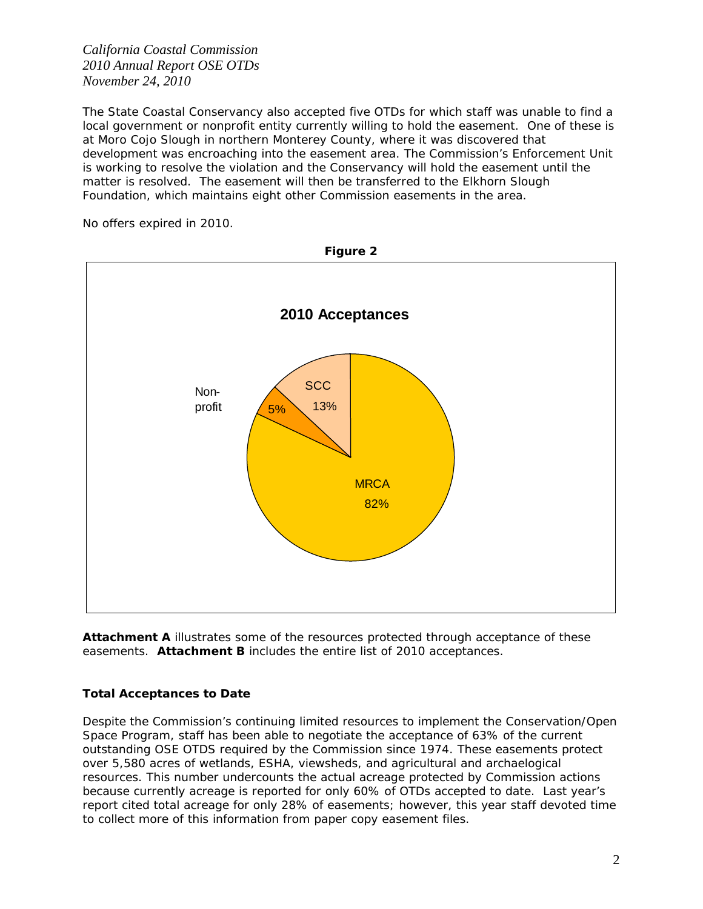*California Coastal Commission 2010 Annual Report OSE OTDs November 24, 2010* 

The State Coastal Conservancy also accepted five OTDs for which staff was unable to find a local government or nonprofit entity currently willing to hold the easement. One of these is at Moro Cojo Slough in northern Monterey County, where it was discovered that development was encroaching into the easement area. The Commission's Enforcement Unit is working to resolve the violation and the Conservancy will hold the easement until the matter is resolved. The easement will then be transferred to the Elkhorn Slough Foundation, which maintains eight other Commission easements in the area.

No offers expired in 2010.



Attachment A illustrates some of the resources protected through acceptance of these easements. **Attachment B** includes the entire list of 2010 acceptances.

## *Total Acceptances to Date*

Despite the Commission's continuing limited resources to implement the Conservation/Open Space Program, staff has been able to negotiate the acceptance of 63% of the current outstanding OSE OTDS required by the Commission since 1974. These easements protect over 5,580 acres of wetlands, ESHA, viewsheds, and agricultural and archaelogical resources. This number undercounts the actual acreage protected by Commission actions because currently acreage is reported for only 60% of OTDs accepted to date. Last year's report cited total acreage for only 28% of easements; however, this year staff devoted time to collect more of this information from paper copy easement files.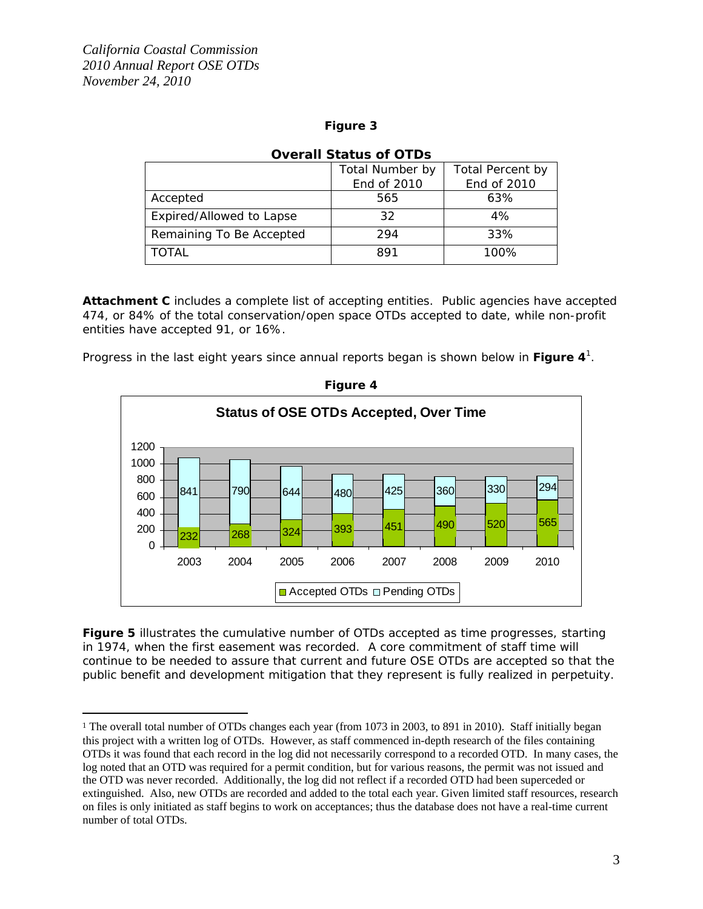$\overline{a}$ 

## **Figure 3**

|                          | Total Number by | Total Percent by |  |  |  |
|--------------------------|-----------------|------------------|--|--|--|
|                          | End of 2010     | End of 2010      |  |  |  |
| Accepted                 | 565             | 63%              |  |  |  |
| Expired/Allowed to Lapse | 32              | 4%               |  |  |  |
| Remaining To Be Accepted | 294             | 33%              |  |  |  |
| <b>TOTAL</b>             | 891             | 100%             |  |  |  |

# **Overall Status of OTDs**

**Attachment C** includes a complete list of accepting entities. Public agencies have accepted 474, or 84% of the total conservation/open space OTDs accepted to date, while non-profit entities have accepted 91, or 16%.

Progress in the last eight years since annual reports began is shown below in **Figure 4**<sup>1</sup> .



**Figure 4** 

**Figure 5** illustrates the cumulative number of OTDs accepted as time progresses, starting in 1974, when the first easement was recorded. A core commitment of staff time will continue to be needed to assure that current and future OSE OTDs are accepted so that the public benefit and development mitigation that they represent is fully realized in perpetuity.

<sup>&</sup>lt;sup>1</sup> The overall total number of OTDs changes each year (from 1073 in 2003, to 891 in 2010). Staff initially began this project with a written log of OTDs. However, as staff commenced in-depth research of the files containing OTDs it was found that each record in the log did not necessarily correspond to a recorded OTD. In many cases, the log noted that an OTD was required for a permit condition, but for various reasons, the permit was not issued and the OTD was never recorded. Additionally, the log did not reflect if a recorded OTD had been superceded or extinguished. Also, new OTDs are recorded and added to the total each year. Given limited staff resources, research on files is only initiated as staff begins to work on acceptances; thus the database does not have a real-time current number of total OTDs.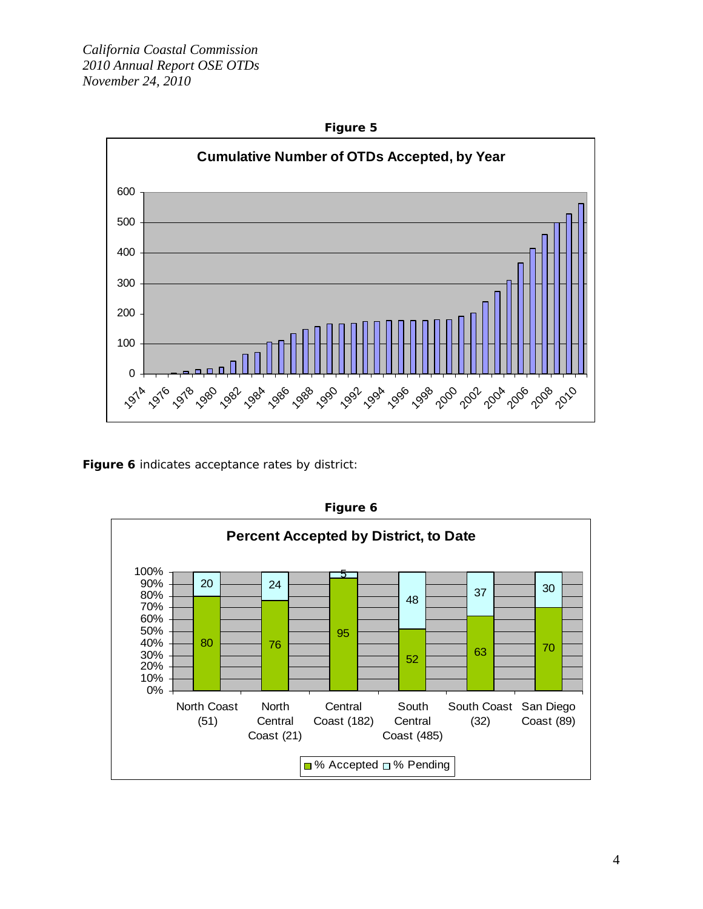

**Figure 6** indicates acceptance rates by district:



**Figure 6**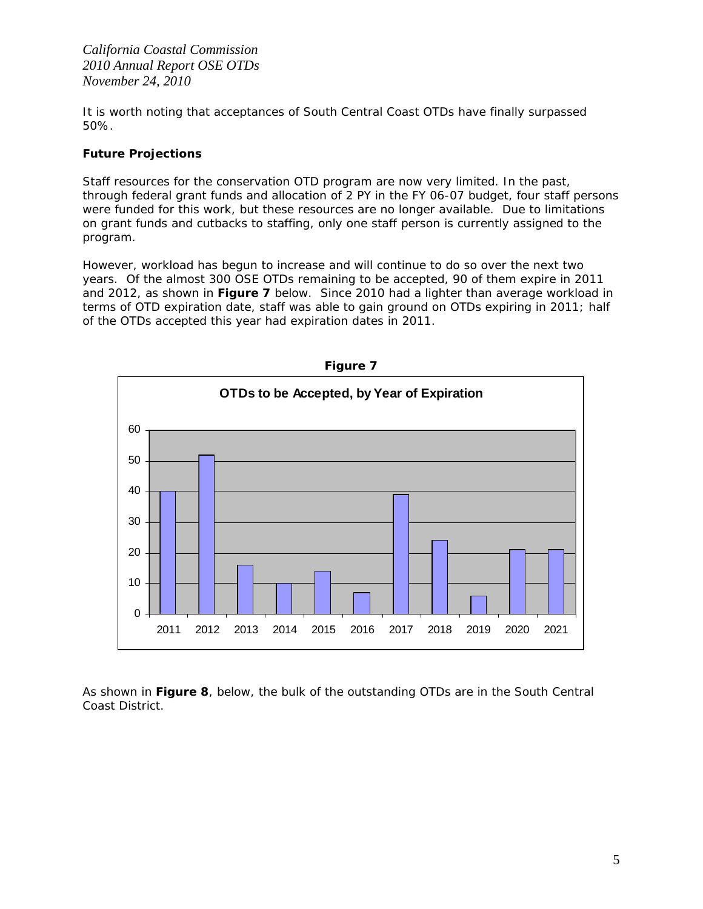*California Coastal Commission 2010 Annual Report OSE OTDs November 24, 2010* 

It is worth noting that acceptances of South Central Coast OTDs have finally surpassed 50%.

# *Future Projections*

Staff resources for the conservation OTD program are now very limited. In the past, through federal grant funds and allocation of 2 PY in the FY 06-07 budget, four staff persons were funded for this work, but these resources are no longer available. Due to limitations on grant funds and cutbacks to staffing, only one staff person is currently assigned to the program.

However, workload has begun to increase and will continue to do so over the next two years. Of the almost 300 OSE OTDs remaining to be accepted, 90 of them expire in 2011 and 2012, as shown in **Figure 7** below. Since 2010 had a lighter than average workload in terms of OTD expiration date, staff was able to gain ground on OTDs expiring in 2011; half of the OTDs accepted this year had expiration dates in 2011.



**Figure 7** 

As shown in **Figure 8**, below, the bulk of the outstanding OTDs are in the South Central Coast District.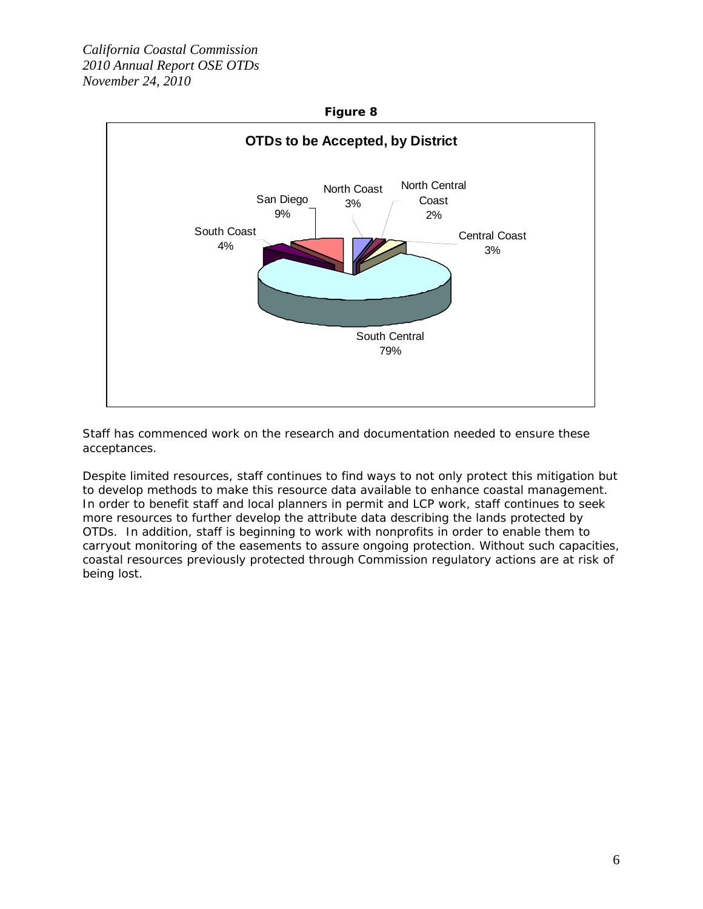

Staff has commenced work on the research and documentation needed to ensure these acceptances.

Despite limited resources, staff continues to find ways to not only protect this mitigation but to develop methods to make this resource data available to enhance coastal management. In order to benefit staff and local planners in permit and LCP work, staff continues to seek more resources to further develop the attribute data describing the lands protected by OTDs. In addition, staff is beginning to work with nonprofits in order to enable them to carryout monitoring of the easements to assure ongoing protection. Without such capacities, coastal resources previously protected through Commission regulatory actions are at risk of being lost.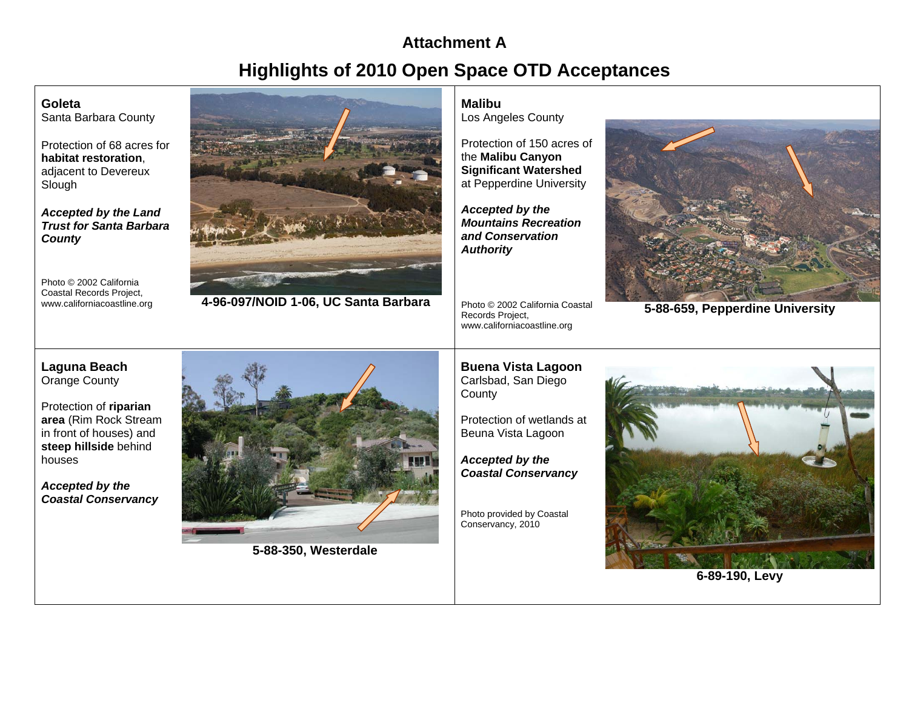# **Attachment AHighlights of 2010 Open Space OTD Acceptances**

# **Goleta**

Santa Barbara County

Protection of 68 acres for **habitat restoration**, adjacent to Devereux Slough

*Accepted by the Land Trust for Santa Barbara County* 

Photo © 2002 California Coastal Records Project,<br>www.californiacoastline.org



www.californiacoastline.org **4-96-097/NOID 1-06, UC Santa Barbara** 

# **Malibu**

Los Angeles County

Protection of 150 acres of the **Malibu Canyon Significant Watershed** at Pepperdine University

*Accepted by the Mountains Recreation and Conservation Authority* 

Photo © 2002 California Coastal Records Project, www.californiacoastline.org



**5-88-659, Pepperdine University**

# **Laguna Beach**  Orange County

Protection of **riparian area** (Rim Rock Stream in front of houses) and **steep hillside** behind houses

*Accepted by the Coastal Conservancy* 



**5-88-350, Westerdale** 

**Buena Vista Lagoon** Carlsbad, San Diego **County** 

Protection of wetlands at Beuna Vista Lagoon

*Accepted by the Coastal Conservancy* 

Photo provided by Coastal Conservancy, 2010



**6-89-190, Levy**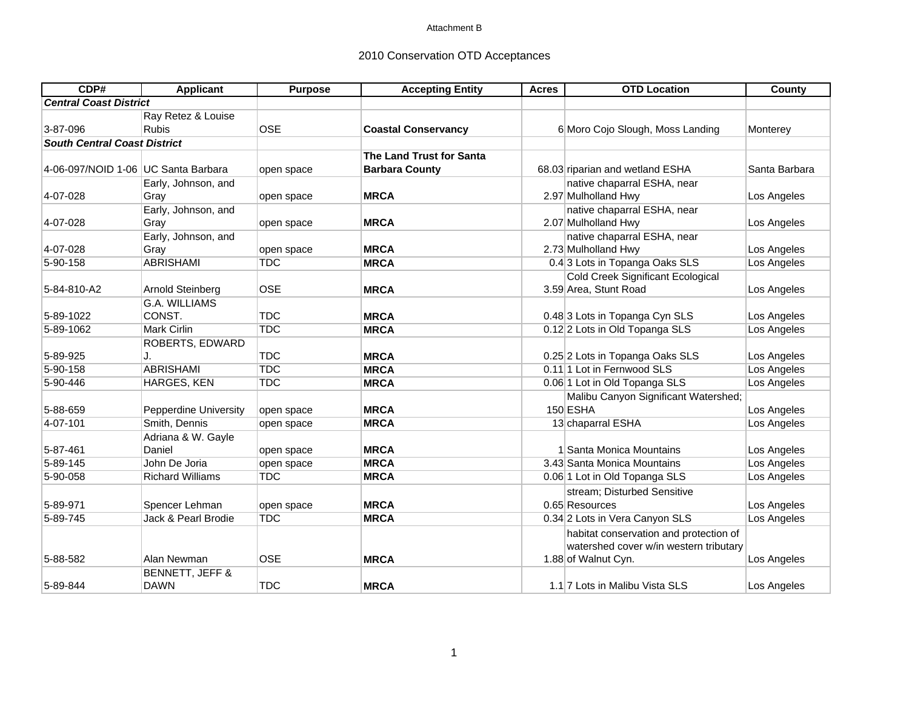### Attachment B

# 2010 Conservation OTD Acceptances

| CDP#                                | Applicant                    | <b>Purpose</b> | <b>Accepting Entity</b>    | <b>Acres</b> | <b>OTD Location</b>                      | County        |
|-------------------------------------|------------------------------|----------------|----------------------------|--------------|------------------------------------------|---------------|
| <b>Central Coast District</b>       |                              |                |                            |              |                                          |               |
|                                     | Ray Retez & Louise           |                |                            |              |                                          |               |
| 3-87-096                            | <b>Rubis</b>                 | <b>OSE</b>     | <b>Coastal Conservancy</b> |              | 6 Moro Cojo Slough, Moss Landing         | Monterey      |
| <b>South Central Coast District</b> |                              |                |                            |              |                                          |               |
|                                     |                              |                | The Land Trust for Santa   |              |                                          |               |
| 4-06-097/NOID 1-06 UC Santa Barbara |                              | open space     | <b>Barbara County</b>      |              | 68.03 riparian and wetland ESHA          | Santa Barbara |
|                                     | Early, Johnson, and          |                |                            |              | native chaparral ESHA, near              |               |
| 4-07-028                            | Gray                         | open space     | <b>MRCA</b>                |              | 2.97 Mulholland Hwy                      | Los Angeles   |
|                                     | Early, Johnson, and          |                |                            |              | native chaparral ESHA, near              |               |
| 4-07-028                            | Gray                         | open space     | <b>MRCA</b>                |              | 2.07 Mulholland Hwy                      | Los Angeles   |
|                                     | Early, Johnson, and          |                |                            |              | native chaparral ESHA, near              |               |
| 4-07-028                            | Gray                         | open space     | <b>MRCA</b>                |              | 2.73 Mulholland Hwy                      | Los Angeles   |
| 5-90-158                            | <b>ABRISHAMI</b>             | <b>TDC</b>     | <b>MRCA</b>                |              | 0.4 3 Lots in Topanga Oaks SLS           | Los Angeles   |
|                                     |                              |                |                            |              | <b>Cold Creek Significant Ecological</b> |               |
| 5-84-810-A2                         | Arnold Steinberg             | <b>OSE</b>     | <b>MRCA</b>                |              | 3.59 Area, Stunt Road                    | Los Angeles   |
|                                     | G.A. WILLIAMS                |                |                            |              |                                          |               |
| 5-89-1022                           | CONST.                       | <b>TDC</b>     | <b>MRCA</b>                |              | 0.48 3 Lots in Topanga Cyn SLS           | Los Angeles   |
| 5-89-1062                           | Mark Cirlin                  | <b>TDC</b>     | <b>MRCA</b>                |              | 0.12 2 Lots in Old Topanga SLS           | Los Angeles   |
|                                     | ROBERTS, EDWARD              |                |                            |              |                                          |               |
| 5-89-925                            | IJ.                          | <b>TDC</b>     | <b>MRCA</b>                |              | 0.25 2 Lots in Topanga Oaks SLS          | Los Angeles   |
| 5-90-158                            | <b>ABRISHAMI</b>             | <b>TDC</b>     | <b>MRCA</b>                |              | 0.11 1 Lot in Fernwood SLS               | Los Angeles   |
| 5-90-446                            | HARGES, KEN                  | <b>TDC</b>     | <b>MRCA</b>                |              | 0.06 1 Lot in Old Topanga SLS            | Los Angeles   |
|                                     |                              |                |                            |              | Malibu Canyon Significant Watershed;     |               |
| 5-88-659                            | <b>Pepperdine University</b> | open space     | <b>MRCA</b>                |              | 150 ESHA                                 | Los Angeles   |
| 4-07-101                            | Smith, Dennis                | open space     | <b>MRCA</b>                |              | 13 chaparral ESHA                        | Los Angeles   |
|                                     | Adriana & W. Gayle           |                |                            |              |                                          |               |
| 5-87-461                            | Daniel                       | open space     | <b>MRCA</b>                |              | 1 Santa Monica Mountains                 | Los Angeles   |
| $5 - 89 - 145$                      | John De Joria                | open space     | <b>MRCA</b>                |              | 3.43 Santa Monica Mountains              | Los Angeles   |
| 5-90-058                            | <b>Richard Williams</b>      | <b>TDC</b>     | <b>MRCA</b>                |              | 0.06 1 Lot in Old Topanga SLS            | Los Angeles   |
|                                     |                              |                |                            |              | stream; Disturbed Sensitive              |               |
| 5-89-971                            | Spencer Lehman               | open space     | <b>MRCA</b>                |              | 0.65 Resources                           | Los Angeles   |
| 5-89-745                            | Jack & Pearl Brodie          | <b>TDC</b>     | <b>MRCA</b>                |              | 0.34 2 Lots in Vera Canyon SLS           | Los Angeles   |
|                                     |                              |                |                            |              | habitat conservation and protection of   |               |
|                                     |                              |                |                            |              | watershed cover w/in western tributary   |               |
| 5-88-582                            | Alan Newman                  | <b>OSE</b>     | <b>MRCA</b>                |              | 1.88 of Walnut Cyn.                      | Los Angeles   |
|                                     | BENNETT, JEFF &              |                |                            |              |                                          |               |
| 5-89-844                            | <b>DAWN</b>                  | <b>TDC</b>     | <b>MRCA</b>                |              | 1.1 7 Lots in Malibu Vista SLS           | Los Angeles   |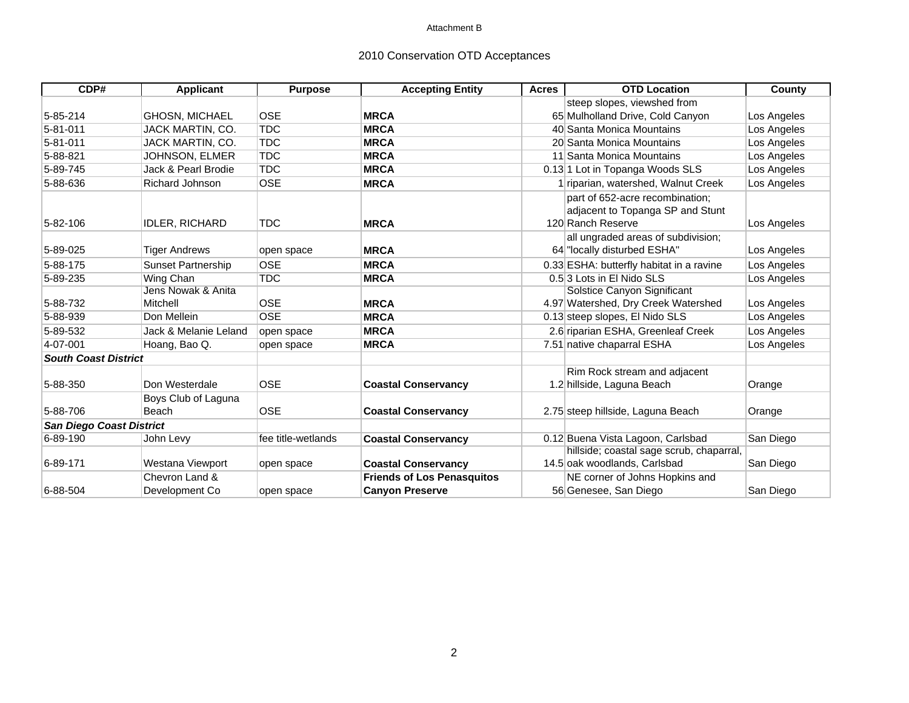#### Attachment B

# 2010 Conservation OTD Acceptances

| CDP#                            | <b>Applicant</b>                    | <b>Purpose</b>     | <b>Accepting Entity</b>           | <b>Acres</b> | <b>OTD Location</b>                                                                      | County      |
|---------------------------------|-------------------------------------|--------------------|-----------------------------------|--------------|------------------------------------------------------------------------------------------|-------------|
|                                 |                                     |                    |                                   |              | steep slopes, viewshed from                                                              |             |
| 5-85-214                        | <b>GHOSN, MICHAEL</b>               | <b>OSE</b>         | <b>MRCA</b>                       |              | 65 Mulholland Drive, Cold Canyon                                                         | Los Angeles |
| $5 - 81 - 011$                  | JACK MARTIN, CO.                    | <b>TDC</b>         | <b>MRCA</b>                       |              | 40 Santa Monica Mountains                                                                | Los Angeles |
| 5-81-011                        | JACK MARTIN, CO.                    | <b>TDC</b>         | <b>MRCA</b>                       |              | 20 Santa Monica Mountains                                                                | Los Angeles |
| 5-88-821                        | JOHNSON, ELMER                      | <b>TDC</b>         | <b>MRCA</b>                       |              | 11 Santa Monica Mountains                                                                | Los Angeles |
| 5-89-745                        | Jack & Pearl Brodie                 | <b>TDC</b>         | <b>MRCA</b>                       |              | 0.13 1 Lot in Topanga Woods SLS                                                          | Los Angeles |
| 5-88-636                        | Richard Johnson                     | <b>OSE</b>         | <b>MRCA</b>                       |              | 1 riparian, watershed, Walnut Creek                                                      | Los Angeles |
| 5-82-106                        | <b>IDLER, RICHARD</b>               | <b>TDC</b>         | <b>MRCA</b>                       |              | part of 652-acre recombination:<br>adjacent to Topanga SP and Stunt<br>120 Ranch Reserve | Los Angeles |
| 5-89-025                        | <b>Tiger Andrews</b>                | open space         | <b>MRCA</b>                       |              | all ungraded areas of subdivision;<br>64 "locally disturbed ESHA"                        | Los Angeles |
| 5-88-175                        | <b>Sunset Partnership</b>           | <b>OSE</b>         | <b>MRCA</b>                       |              | 0.33 ESHA: butterfly habitat in a ravine                                                 | Los Angeles |
| 5-89-235                        | <b>Wing Chan</b>                    | <b>TDC</b>         | <b>MRCA</b>                       |              | 0.5 3 Lots in El Nido SLS                                                                | Los Angeles |
| 5-88-732                        | Jens Nowak & Anita<br>Mitchell      | <b>OSE</b>         | <b>MRCA</b>                       |              | Solstice Canyon Significant<br>4.97 Watershed, Dry Creek Watershed                       | Los Angeles |
| 5-88-939                        | Don Mellein                         | <b>OSE</b>         | <b>MRCA</b>                       |              | 0.13 steep slopes, El Nido SLS                                                           | Los Angeles |
| 5-89-532                        | Jack & Melanie Leland               | open space         | <b>MRCA</b>                       |              | 2.6 riparian ESHA, Greenleaf Creek                                                       | Los Angeles |
| 4-07-001                        | Hoang, Bao Q.                       | open space         | <b>MRCA</b>                       |              | 7.51 native chaparral ESHA                                                               | Los Angeles |
| <b>South Coast District</b>     |                                     |                    |                                   |              |                                                                                          |             |
| 5-88-350                        | Don Westerdale                      | <b>OSE</b>         | <b>Coastal Conservancy</b>        |              | Rim Rock stream and adjacent<br>1.2 hillside, Laguna Beach                               | Orange      |
| 5-88-706                        | Boys Club of Laguna<br><b>Beach</b> | <b>OSE</b>         | <b>Coastal Conservancy</b>        |              | 2.75 steep hillside, Laguna Beach                                                        | Orange      |
| <b>San Diego Coast District</b> |                                     |                    |                                   |              |                                                                                          |             |
| 6-89-190                        | John Levy                           | fee title-wetlands | <b>Coastal Conservancy</b>        |              | 0.12 Buena Vista Lagoon, Carlsbad                                                        | San Diego   |
| $6 - 89 - 171$                  | Westana Viewport                    | open space         | <b>Coastal Conservancy</b>        |              | hillside; coastal sage scrub, chaparral,<br>14.5 oak woodlands, Carlsbad                 | San Diego   |
|                                 | Chevron Land &                      |                    | <b>Friends of Los Penasquitos</b> |              | NE corner of Johns Hopkins and                                                           |             |
| 6-88-504                        | Development Co                      | open space         | <b>Canyon Preserve</b>            |              | 56 Genesee, San Diego                                                                    | San Diego   |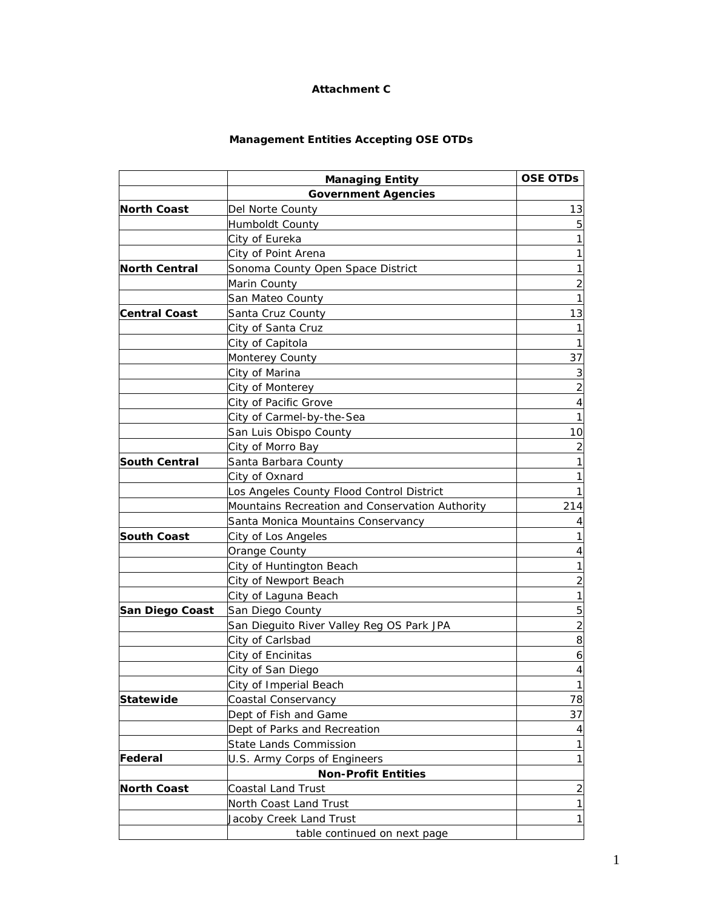# **Attachment C**

# **Management Entities Accepting OSE OTDs**

|                        | <b>Managing Entity</b>                          | <b>OSE OTDs</b>          |
|------------------------|-------------------------------------------------|--------------------------|
|                        | <b>Government Agencies</b>                      |                          |
| <b>North Coast</b>     | Del Norte County                                | 13                       |
|                        | Humboldt County                                 | 5                        |
|                        | City of Eureka                                  | 1                        |
|                        | City of Point Arena                             | $\mathbf{1}$             |
| <b>North Central</b>   | Sonoma County Open Space District               | $\mathbf{1}$             |
|                        | Marin County                                    | $\overline{c}$           |
|                        | San Mateo County                                | $\mathbf{1}$             |
| <b>Central Coast</b>   | Santa Cruz County                               | 13                       |
|                        | City of Santa Cruz                              | 1                        |
|                        | City of Capitola                                | $\mathbf{1}$             |
|                        | <b>Monterey County</b>                          | 37                       |
|                        | City of Marina                                  | 3                        |
|                        | City of Monterey                                | $\overline{c}$           |
|                        | City of Pacific Grove                           | 4                        |
|                        | City of Carmel-by-the-Sea                       | 1                        |
|                        | San Luis Obispo County                          | 10                       |
|                        | City of Morro Bay                               | $\overline{c}$           |
| <b>South Central</b>   | Santa Barbara County                            | $\mathbf{1}$             |
|                        | City of Oxnard                                  | $\mathbf{1}$             |
|                        | Los Angeles County Flood Control District       | $\mathbf{1}$             |
|                        | Mountains Recreation and Conservation Authority | 214                      |
|                        | Santa Monica Mountains Conservancy              | 4                        |
| <b>South Coast</b>     | City of Los Angeles                             | $\mathbf{1}$             |
|                        | Orange County                                   | 4                        |
|                        | City of Huntington Beach                        | $\mathbf{1}$             |
|                        | City of Newport Beach                           | $\overline{c}$           |
|                        | City of Laguna Beach                            | $\mathbf{1}$             |
| <b>San Diego Coast</b> | San Diego County                                | 5                        |
|                        | San Dieguito River Valley Reg OS Park JPA       | $\overline{c}$           |
|                        | City of Carlsbad                                | 8                        |
|                        | City of Encinitas                               | 6                        |
|                        | City of San Diego                               | $\overline{\mathcal{L}}$ |
|                        | City of Imperial Beach                          | $\overline{1}$           |
| <b>Statewide</b>       | Coastal Conservancy                             | 78                       |
|                        | Dept of Fish and Game                           | 37                       |
|                        | Dept of Parks and Recreation                    | 4                        |
|                        | <b>State Lands Commission</b>                   | $\mathbf{1}$             |
| Federal                | U.S. Army Corps of Engineers                    | $\mathbf{1}$             |
|                        | <b>Non-Profit Entities</b>                      |                          |
| <b>North Coast</b>     | Coastal Land Trust                              | $\overline{c}$           |
|                        | North Coast Land Trust                          | 1                        |
|                        | Jacoby Creek Land Trust                         | 1                        |
|                        | table continued on next page                    |                          |